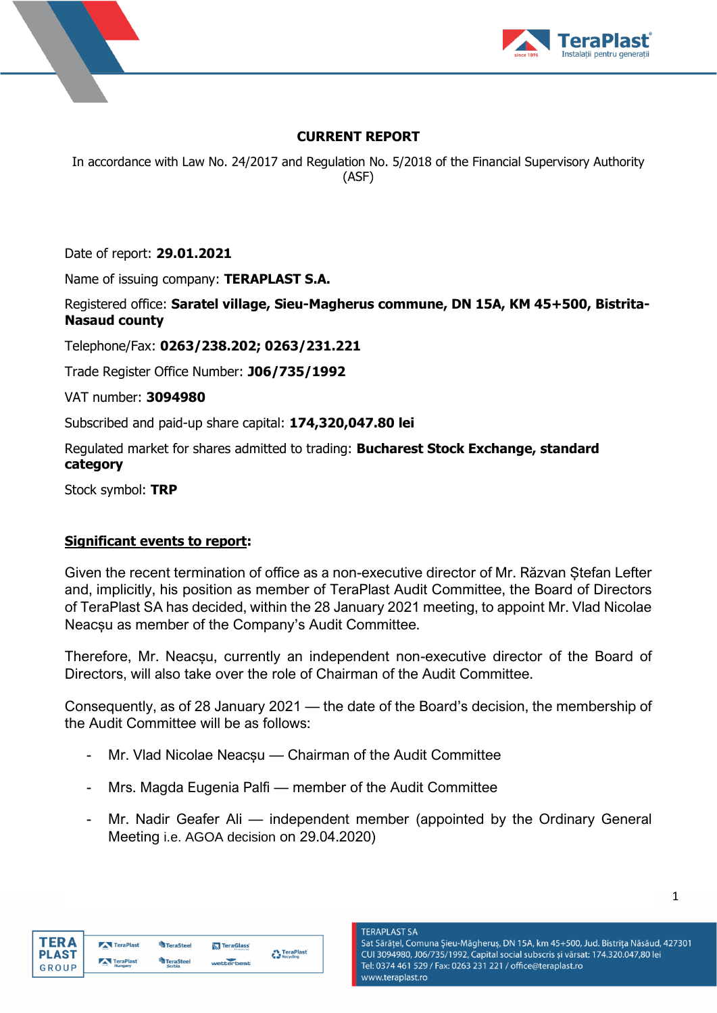



## **CURRENT REPORT**

In accordance with Law No. 24/2017 and Regulation No. 5/2018 of the Financial Supervisory Authority (ASF)

Date of report: **29.01.2021**

Name of issuing company: **TERAPLAST S.A.**

Registered office: **Saratel village, Sieu-Magherus commune, DN 15A, KM 45+500, Bistrita-Nasaud county**

Telephone/Fax: **0263/238.202; 0263/231.221**

Trade Register Office Number: **J06/735/1992**

VAT number: **3094980**

Subscribed and paid-up share capital: **174,320,047.80 lei**

Regulated market for shares admitted to trading: **Bucharest Stock Exchange, standard category**

Stock symbol: **TRP**

## **Significant events to report:**

Given the recent termination of office as a non-executive director of Mr. Răzvan Ștefan Lefter and, implicitly, his position as member of TeraPlast Audit Committee, the Board of Directors of TeraPlast SA has decided, within the 28 January 2021 meeting, to appoint Mr. Vlad Nicolae Neacșu as member of the Company's Audit Committee.

Therefore, Mr. Neacșu, currently an independent non-executive director of the Board of Directors, will also take over the role of Chairman of the Audit Committee.

Consequently, as of 28 January 2021 — the date of the Board's decision, the membership of the Audit Committee will be as follows:

- Mr. Vlad Nicolae Neacșu Chairman of the Audit Committee
- Mrs. Magda Eugenia Palfi member of the Audit Committee
- Mr. Nadir Geafer Ali independent member (appointed by the Ordinary General Meeting i.e. AGOA decision on 29.04.2020)



| TeraPlast            | <b>TeraSteel</b>           | TeraGlass  | <b>C</b> TeraPlast |
|----------------------|----------------------------|------------|--------------------|
| TeraPlast<br>Hungary | <b>TeraSteel</b><br>Serbia | wetterbest |                    |

1